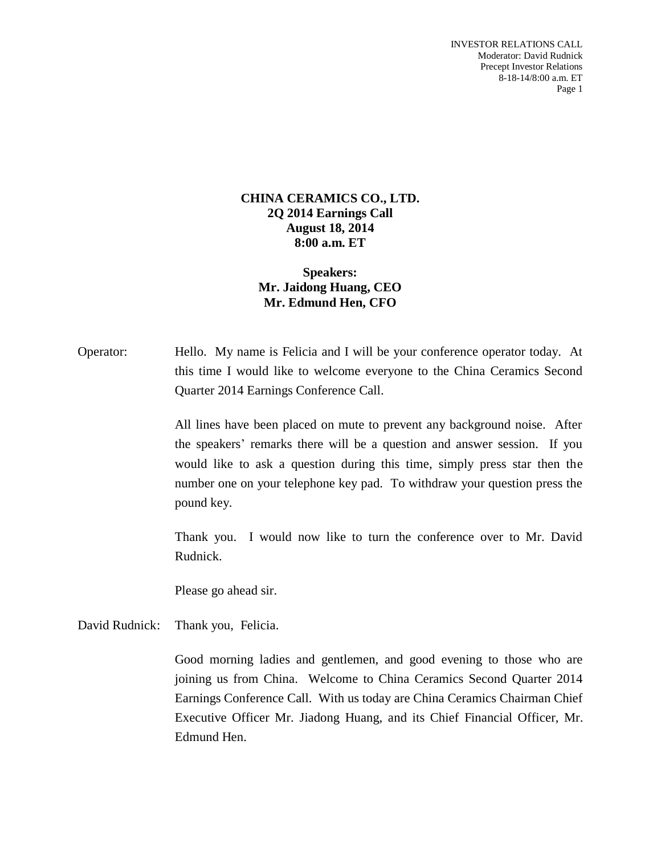INVESTOR RELATIONS CALL Moderator: David Rudnick Precept Investor Relations 8-18-14/8:00 a.m. ET Page 1

#### **CHINA CERAMICS CO., LTD. 2Q 2014 Earnings Call August 18, 2014 8:00 a.m. ET**

## **Speakers: Mr. Jaidong Huang, CEO Mr. Edmund Hen, CFO**

Operator: Hello. My name is Felicia and I will be your conference operator today. At this time I would like to welcome everyone to the China Ceramics Second Quarter 2014 Earnings Conference Call.

> All lines have been placed on mute to prevent any background noise. After the speakers' remarks there will be a question and answer session. If you would like to ask a question during this time, simply press star then the number one on your telephone key pad. To withdraw your question press the pound key.

> Thank you. I would now like to turn the conference over to Mr. David Rudnick.

Please go ahead sir.

David Rudnick: Thank you, Felicia.

Good morning ladies and gentlemen, and good evening to those who are joining us from China. Welcome to China Ceramics Second Quarter 2014 Earnings Conference Call. With us today are China Ceramics Chairman Chief Executive Officer Mr. Jiadong Huang, and its Chief Financial Officer, Mr. Edmund Hen.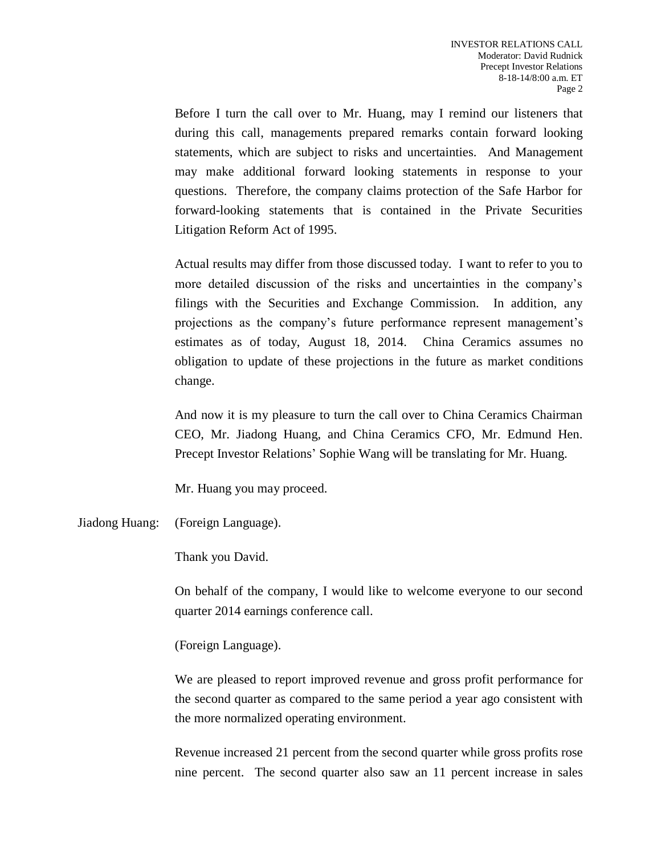Before I turn the call over to Mr. Huang, may I remind our listeners that during this call, managements prepared remarks contain forward looking statements, which are subject to risks and uncertainties. And Management may make additional forward looking statements in response to your questions. Therefore, the company claims protection of the Safe Harbor for forward-looking statements that is contained in the Private Securities Litigation Reform Act of 1995.

Actual results may differ from those discussed today. I want to refer to you to more detailed discussion of the risks and uncertainties in the company's filings with the Securities and Exchange Commission. In addition, any projections as the company's future performance represent management's estimates as of today, August 18, 2014. China Ceramics assumes no obligation to update of these projections in the future as market conditions change.

And now it is my pleasure to turn the call over to China Ceramics Chairman CEO, Mr. Jiadong Huang, and China Ceramics CFO, Mr. Edmund Hen. Precept Investor Relations' Sophie Wang will be translating for Mr. Huang.

Mr. Huang you may proceed.

Jiadong Huang: (Foreign Language).

Thank you David.

On behalf of the company, I would like to welcome everyone to our second quarter 2014 earnings conference call.

(Foreign Language).

We are pleased to report improved revenue and gross profit performance for the second quarter as compared to the same period a year ago consistent with the more normalized operating environment.

Revenue increased 21 percent from the second quarter while gross profits rose nine percent. The second quarter also saw an 11 percent increase in sales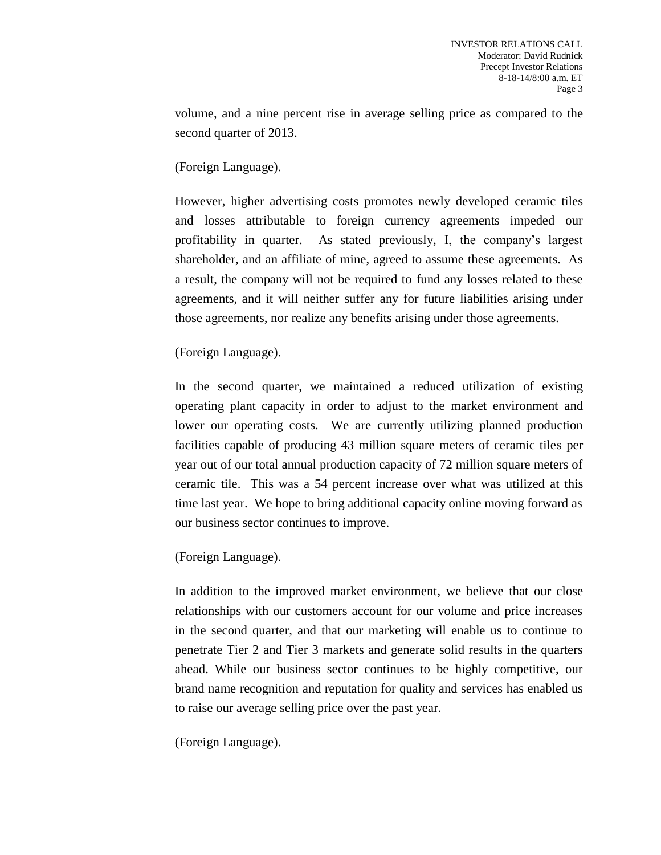volume, and a nine percent rise in average selling price as compared to the second quarter of 2013.

## (Foreign Language).

However, higher advertising costs promotes newly developed ceramic tiles and losses attributable to foreign currency agreements impeded our profitability in quarter. As stated previously, I, the company's largest shareholder, and an affiliate of mine, agreed to assume these agreements. As a result, the company will not be required to fund any losses related to these agreements, and it will neither suffer any for future liabilities arising under those agreements, nor realize any benefits arising under those agreements.

# (Foreign Language).

In the second quarter, we maintained a reduced utilization of existing operating plant capacity in order to adjust to the market environment and lower our operating costs. We are currently utilizing planned production facilities capable of producing 43 million square meters of ceramic tiles per year out of our total annual production capacity of 72 million square meters of ceramic tile. This was a 54 percent increase over what was utilized at this time last year. We hope to bring additional capacity online moving forward as our business sector continues to improve.

# (Foreign Language).

In addition to the improved market environment, we believe that our close relationships with our customers account for our volume and price increases in the second quarter, and that our marketing will enable us to continue to penetrate Tier 2 and Tier 3 markets and generate solid results in the quarters ahead. While our business sector continues to be highly competitive, our brand name recognition and reputation for quality and services has enabled us to raise our average selling price over the past year.

(Foreign Language).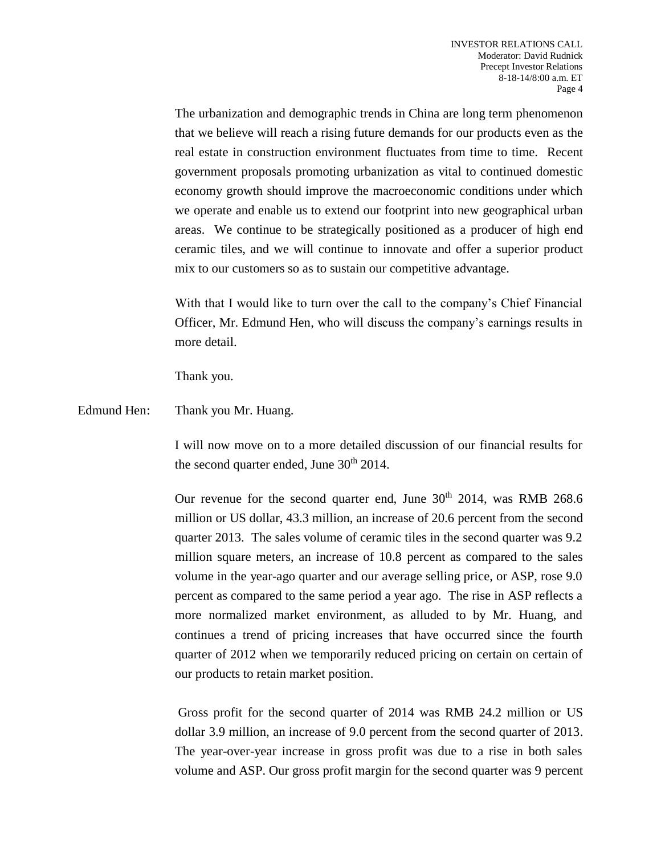The urbanization and demographic trends in China are long term phenomenon that we believe will reach a rising future demands for our products even as the real estate in construction environment fluctuates from time to time. Recent government proposals promoting urbanization as vital to continued domestic economy growth should improve the macroeconomic conditions under which we operate and enable us to extend our footprint into new geographical urban areas. We continue to be strategically positioned as a producer of high end ceramic tiles, and we will continue to innovate and offer a superior product mix to our customers so as to sustain our competitive advantage.

With that I would like to turn over the call to the company's Chief Financial Officer, Mr. Edmund Hen, who will discuss the company's earnings results in more detail.

Thank you.

Edmund Hen: Thank you Mr. Huang.

I will now move on to a more detailed discussion of our financial results for the second quarter ended, June  $30<sup>th</sup> 2014$ .

Our revenue for the second quarter end, June  $30<sup>th</sup>$  2014, was RMB 268.6 million or US dollar, 43.3 million, an increase of 20.6 percent from the second quarter 2013. The sales volume of ceramic tiles in the second quarter was 9.2 million square meters, an increase of 10.8 percent as compared to the sales volume in the year-ago quarter and our average selling price, or ASP, rose 9.0 percent as compared to the same period a year ago. The rise in ASP reflects a more normalized market environment, as alluded to by Mr. Huang, and continues a trend of pricing increases that have occurred since the fourth quarter of 2012 when we temporarily reduced pricing on certain on certain of our products to retain market position.

Gross profit for the second quarter of 2014 was RMB 24.2 million or US dollar 3.9 million, an increase of 9.0 percent from the second quarter of 2013. The year-over-year increase in gross profit was due to a rise in both sales volume and ASP. Our gross profit margin for the second quarter was 9 percent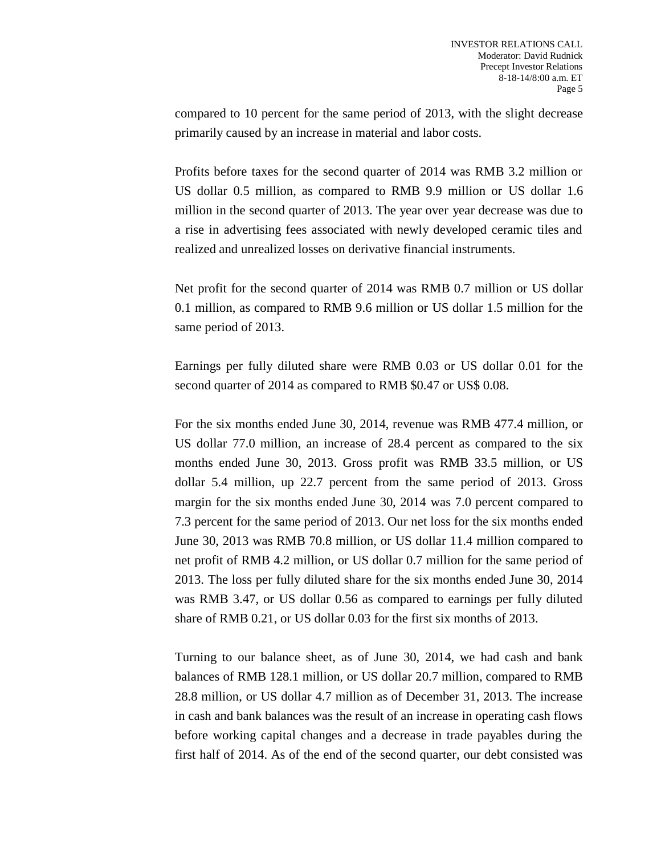compared to 10 percent for the same period of 2013, with the slight decrease primarily caused by an increase in material and labor costs.

Profits before taxes for the second quarter of 2014 was RMB 3.2 million or US dollar 0.5 million, as compared to RMB 9.9 million or US dollar 1.6 million in the second quarter of 2013. The year over year decrease was due to a rise in advertising fees associated with newly developed ceramic tiles and realized and unrealized losses on derivative financial instruments.

Net profit for the second quarter of 2014 was RMB 0.7 million or US dollar 0.1 million, as compared to RMB 9.6 million or US dollar 1.5 million for the same period of 2013.

Earnings per fully diluted share were RMB 0.03 or US dollar 0.01 for the second quarter of 2014 as compared to RMB \$0.47 or US\$ 0.08.

For the six months ended June 30, 2014, revenue was RMB 477.4 million, or US dollar 77.0 million, an increase of 28.4 percent as compared to the six months ended June 30, 2013. Gross profit was RMB 33.5 million, or US dollar 5.4 million, up 22.7 percent from the same period of 2013. Gross margin for the six months ended June 30, 2014 was 7.0 percent compared to 7.3 percent for the same period of 2013. Our net loss for the six months ended June 30, 2013 was RMB 70.8 million, or US dollar 11.4 million compared to net profit of RMB 4.2 million, or US dollar 0.7 million for the same period of 2013. The loss per fully diluted share for the six months ended June 30, 2014 was RMB 3.47, or US dollar 0.56 as compared to earnings per fully diluted share of RMB 0.21, or US dollar 0.03 for the first six months of 2013.

Turning to our balance sheet, as of June 30, 2014, we had cash and bank balances of RMB 128.1 million, or US dollar 20.7 million, compared to RMB 28.8 million, or US dollar 4.7 million as of December 31, 2013. The increase in cash and bank balances was the result of an increase in operating cash flows before working capital changes and a decrease in trade payables during the first half of 2014. As of the end of the second quarter, our debt consisted was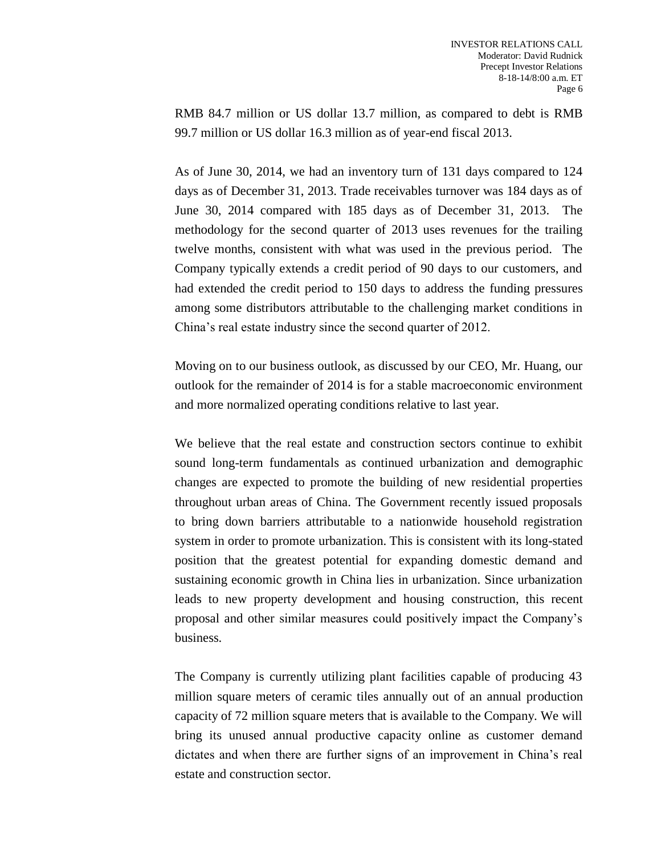RMB 84.7 million or US dollar 13.7 million, as compared to debt is RMB 99.7 million or US dollar 16.3 million as of year-end fiscal 2013.

As of June 30, 2014, we had an inventory turn of 131 days compared to 124 days as of December 31, 2013. Trade receivables turnover was 184 days as of June 30, 2014 compared with 185 days as of December 31, 2013. The methodology for the second quarter of 2013 uses revenues for the trailing twelve months, consistent with what was used in the previous period. The Company typically extends a credit period of 90 days to our customers, and had extended the credit period to 150 days to address the funding pressures among some distributors attributable to the challenging market conditions in China's real estate industry since the second quarter of 2012.

Moving on to our business outlook, as discussed by our CEO, Mr. Huang, our outlook for the remainder of 2014 is for a stable macroeconomic environment and more normalized operating conditions relative to last year.

We believe that the real estate and construction sectors continue to exhibit sound long-term fundamentals as continued urbanization and demographic changes are expected to promote the building of new residential properties throughout urban areas of China. The Government recently issued proposals to bring down barriers attributable to a nationwide household registration system in order to promote urbanization. This is consistent with its long-stated position that the greatest potential for expanding domestic demand and sustaining economic growth in China lies in urbanization. Since urbanization leads to new property development and housing construction, this recent proposal and other similar measures could positively impact the Company's business.

The Company is currently utilizing plant facilities capable of producing 43 million square meters of ceramic tiles annually out of an annual production capacity of 72 million square meters that is available to the Company. We will bring its unused annual productive capacity online as customer demand dictates and when there are further signs of an improvement in China's real estate and construction sector.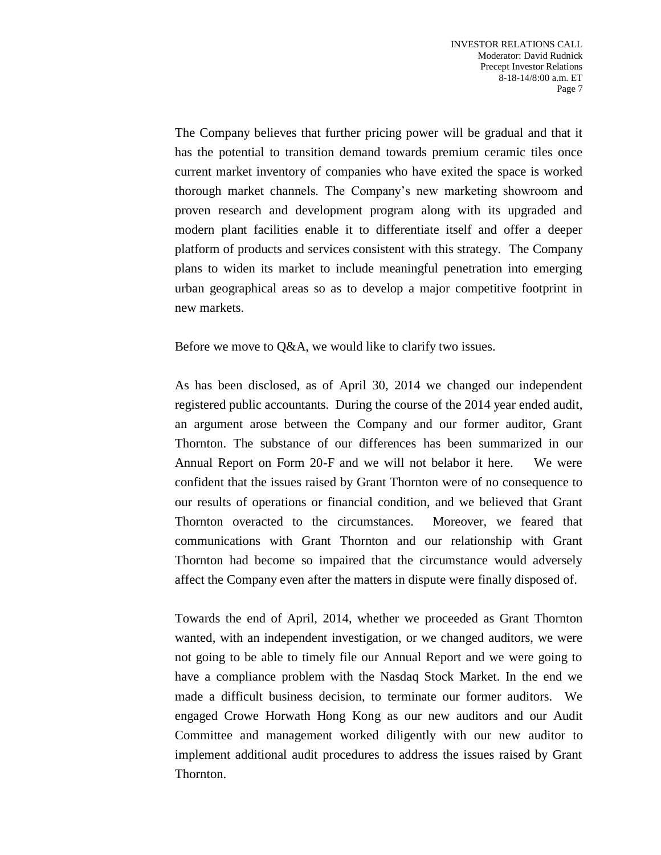The Company believes that further pricing power will be gradual and that it has the potential to transition demand towards premium ceramic tiles once current market inventory of companies who have exited the space is worked thorough market channels. The Company's new marketing showroom and proven research and development program along with its upgraded and modern plant facilities enable it to differentiate itself and offer a deeper platform of products and services consistent with this strategy. The Company plans to widen its market to include meaningful penetration into emerging urban geographical areas so as to develop a major competitive footprint in new markets.

#### Before we move to Q&A, we would like to clarify two issues.

As has been disclosed, as of April 30, 2014 we changed our independent registered public accountants. During the course of the 2014 year ended audit, an argument arose between the Company and our former auditor, Grant Thornton. The substance of our differences has been summarized in our Annual Report on Form 20-F and we will not belabor it here. We were confident that the issues raised by Grant Thornton were of no consequence to our results of operations or financial condition, and we believed that Grant Thornton overacted to the circumstances. Moreover, we feared that communications with Grant Thornton and our relationship with Grant Thornton had become so impaired that the circumstance would adversely affect the Company even after the matters in dispute were finally disposed of.

Towards the end of April, 2014, whether we proceeded as Grant Thornton wanted, with an independent investigation, or we changed auditors, we were not going to be able to timely file our Annual Report and we were going to have a compliance problem with the Nasdaq Stock Market. In the end we made a difficult business decision, to terminate our former auditors. We engaged Crowe Horwath Hong Kong as our new auditors and our Audit Committee and management worked diligently with our new auditor to implement additional audit procedures to address the issues raised by Grant Thornton.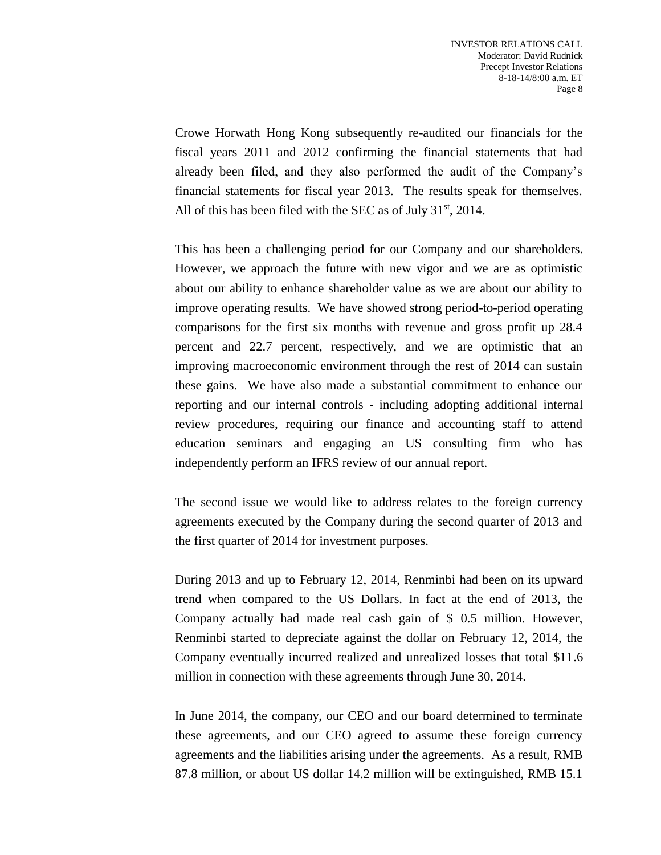Crowe Horwath Hong Kong subsequently re-audited our financials for the fiscal years 2011 and 2012 confirming the financial statements that had already been filed, and they also performed the audit of the Company's financial statements for fiscal year 2013. The results speak for themselves. All of this has been filed with the SEC as of July  $31<sup>st</sup>$ , 2014.

This has been a challenging period for our Company and our shareholders. However, we approach the future with new vigor and we are as optimistic about our ability to enhance shareholder value as we are about our ability to improve operating results. We have showed strong period-to-period operating comparisons for the first six months with revenue and gross profit up 28.4 percent and 22.7 percent, respectively, and we are optimistic that an improving macroeconomic environment through the rest of 2014 can sustain these gains. We have also made a substantial commitment to enhance our reporting and our internal controls - including adopting additional internal review procedures, requiring our finance and accounting staff to attend education seminars and engaging an US consulting firm who has independently perform an IFRS review of our annual report.

The second issue we would like to address relates to the foreign currency agreements executed by the Company during the second quarter of 2013 and the first quarter of 2014 for investment purposes.

During 2013 and up to February 12, 2014, Renminbi had been on its upward trend when compared to the US Dollars. In fact at the end of 2013, the Company actually had made real cash gain of \$ 0.5 million. However, Renminbi started to depreciate against the dollar on February 12, 2014, the Company eventually incurred realized and unrealized losses that total \$11.6 million in connection with these agreements through June 30, 2014.

In June 2014, the company, our CEO and our board determined to terminate these agreements, and our CEO agreed to assume these foreign currency agreements and the liabilities arising under the agreements. As a result, RMB 87.8 million, or about US dollar 14.2 million will be extinguished, RMB 15.1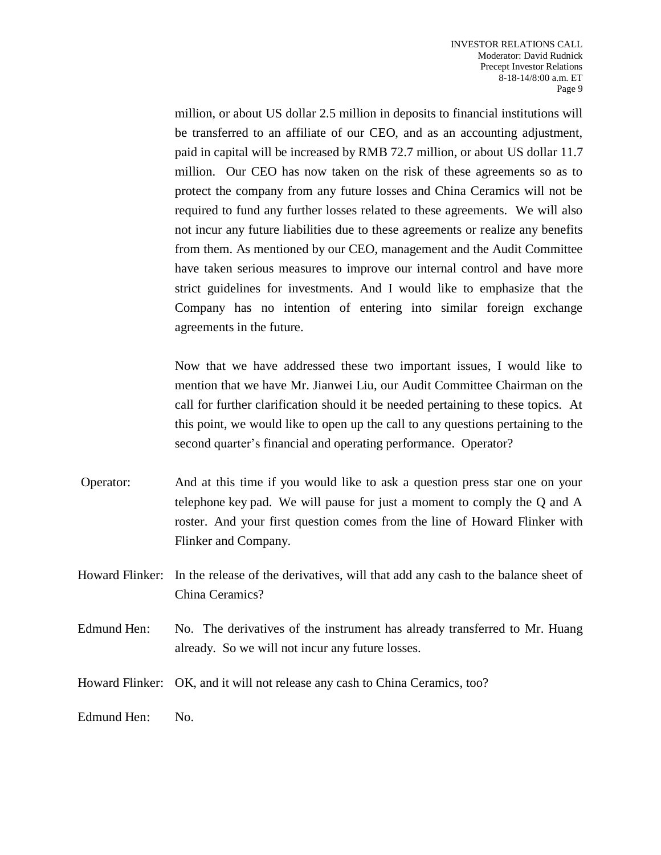million, or about US dollar 2.5 million in deposits to financial institutions will be transferred to an affiliate of our CEO, and as an accounting adjustment, paid in capital will be increased by RMB 72.7 million, or about US dollar 11.7 million. Our CEO has now taken on the risk of these agreements so as to protect the company from any future losses and China Ceramics will not be required to fund any further losses related to these agreements. We will also not incur any future liabilities due to these agreements or realize any benefits from them. As mentioned by our CEO, management and the Audit Committee have taken serious measures to improve our internal control and have more strict guidelines for investments. And I would like to emphasize that the Company has no intention of entering into similar foreign exchange agreements in the future.

Now that we have addressed these two important issues, I would like to mention that we have Mr. Jianwei Liu, our Audit Committee Chairman on the call for further clarification should it be needed pertaining to these topics. At this point, we would like to open up the call to any questions pertaining to the second quarter's financial and operating performance. Operator?

- Operator: And at this time if you would like to ask a question press star one on your telephone key pad. We will pause for just a moment to comply the Q and A roster. And your first question comes from the line of Howard Flinker with Flinker and Company.
- Howard Flinker: In the release of the derivatives, will that add any cash to the balance sheet of China Ceramics?
- Edmund Hen: No. The derivatives of the instrument has already transferred to Mr. Huang already. So we will not incur any future losses.
- Howard Flinker: OK, and it will not release any cash to China Ceramics, too?

Edmund Hen: No.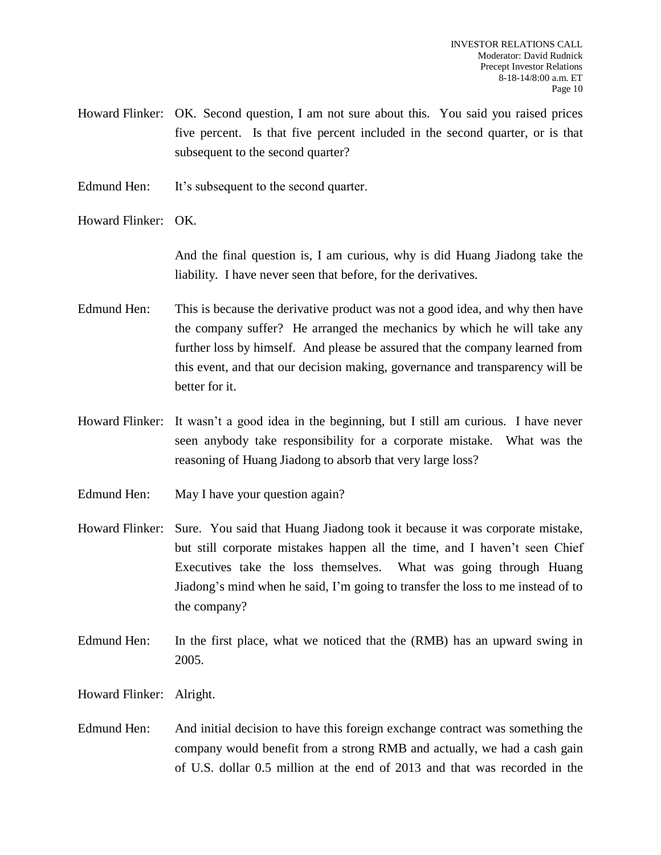- Howard Flinker: OK. Second question, I am not sure about this. You said you raised prices five percent. Is that five percent included in the second quarter, or is that subsequent to the second quarter?
- Edmund Hen: It's subsequent to the second quarter.

Howard Flinker: OK.

And the final question is, I am curious, why is did Huang Jiadong take the liability. I have never seen that before, for the derivatives.

- Edmund Hen: This is because the derivative product was not a good idea, and why then have the company suffer? He arranged the mechanics by which he will take any further loss by himself. And please be assured that the company learned from this event, and that our decision making, governance and transparency will be better for it.
- Howard Flinker: It wasn't a good idea in the beginning, but I still am curious. I have never seen anybody take responsibility for a corporate mistake. What was the reasoning of Huang Jiadong to absorb that very large loss?
- Edmund Hen: May I have your question again?
- Howard Flinker: Sure. You said that Huang Jiadong took it because it was corporate mistake, but still corporate mistakes happen all the time, and I haven't seen Chief Executives take the loss themselves. What was going through Huang Jiadong's mind when he said, I'm going to transfer the loss to me instead of to the company?
- Edmund Hen: In the first place, what we noticed that the (RMB) has an upward swing in 2005.

Howard Flinker: Alright.

Edmund Hen: And initial decision to have this foreign exchange contract was something the company would benefit from a strong RMB and actually, we had a cash gain of U.S. dollar 0.5 million at the end of 2013 and that was recorded in the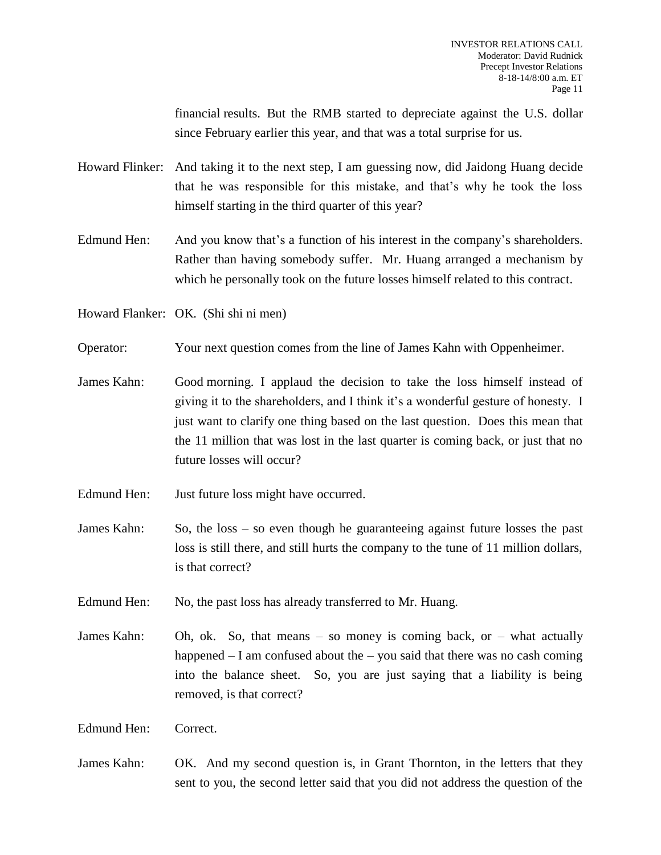financial results. But the RMB started to depreciate against the U.S. dollar since February earlier this year, and that was a total surprise for us.

- Howard Flinker: And taking it to the next step, I am guessing now, did Jaidong Huang decide that he was responsible for this mistake, and that's why he took the loss himself starting in the third quarter of this year?
- Edmund Hen: And you know that's a function of his interest in the company's shareholders. Rather than having somebody suffer. Mr. Huang arranged a mechanism by which he personally took on the future losses himself related to this contract.
- Howard Flanker: OK. (Shi shi ni men)
- Operator: Your next question comes from the line of James Kahn with Oppenheimer.
- James Kahn: Good morning. I applaud the decision to take the loss himself instead of giving it to the shareholders, and I think it's a wonderful gesture of honesty. I just want to clarify one thing based on the last question. Does this mean that the 11 million that was lost in the last quarter is coming back, or just that no future losses will occur?
- Edmund Hen: Just future loss might have occurred.
- James Kahn: So, the loss so even though he guaranteeing against future losses the past loss is still there, and still hurts the company to the tune of 11 million dollars, is that correct?
- Edmund Hen: No, the past loss has already transferred to Mr. Huang.
- James Kahn: Oh, ok. So, that means  $-$  so money is coming back, or  $-$  what actually happened  $- I$  am confused about the  $-$  you said that there was no cash coming into the balance sheet. So, you are just saying that a liability is being removed, is that correct?
- Edmund Hen: Correct.
- James Kahn: OK. And my second question is, in Grant Thornton, in the letters that they sent to you, the second letter said that you did not address the question of the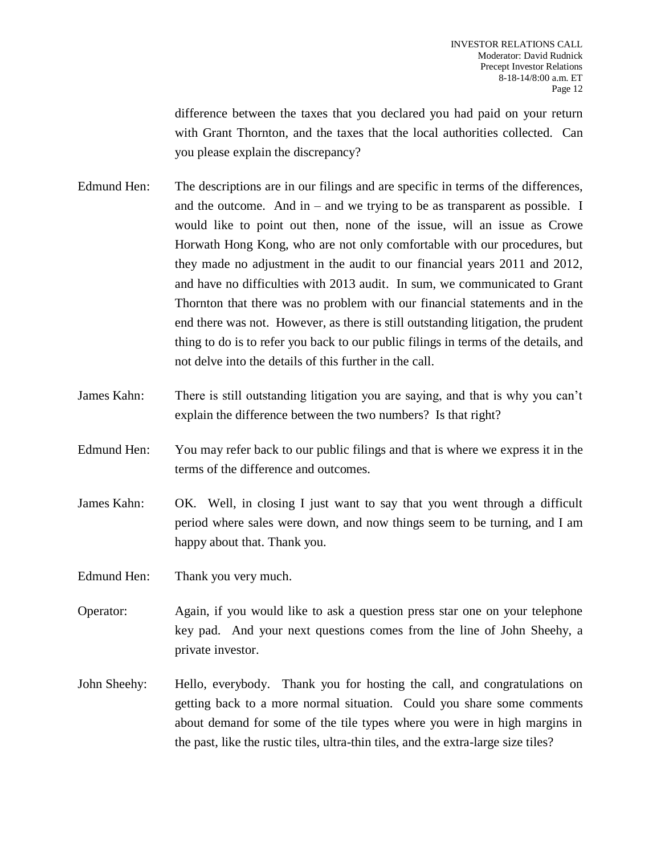difference between the taxes that you declared you had paid on your return with Grant Thornton, and the taxes that the local authorities collected. Can you please explain the discrepancy?

- Edmund Hen: The descriptions are in our filings and are specific in terms of the differences, and the outcome. And in – and we trying to be as transparent as possible. I would like to point out then, none of the issue, will an issue as Crowe Horwath Hong Kong, who are not only comfortable with our procedures, but they made no adjustment in the audit to our financial years 2011 and 2012, and have no difficulties with 2013 audit. In sum, we communicated to Grant Thornton that there was no problem with our financial statements and in the end there was not. However, as there is still outstanding litigation, the prudent thing to do is to refer you back to our public filings in terms of the details, and not delve into the details of this further in the call.
- James Kahn: There is still outstanding litigation you are saying, and that is why you can't explain the difference between the two numbers? Is that right?
- Edmund Hen: You may refer back to our public filings and that is where we express it in the terms of the difference and outcomes.
- James Kahn: OK. Well, in closing I just want to say that you went through a difficult period where sales were down, and now things seem to be turning, and I am happy about that. Thank you.
- Edmund Hen: Thank you very much.
- Operator: Again, if you would like to ask a question press star one on your telephone key pad. And your next questions comes from the line of John Sheehy, a private investor.
- John Sheehy: Hello, everybody. Thank you for hosting the call, and congratulations on getting back to a more normal situation. Could you share some comments about demand for some of the tile types where you were in high margins in the past, like the rustic tiles, ultra-thin tiles, and the extra-large size tiles?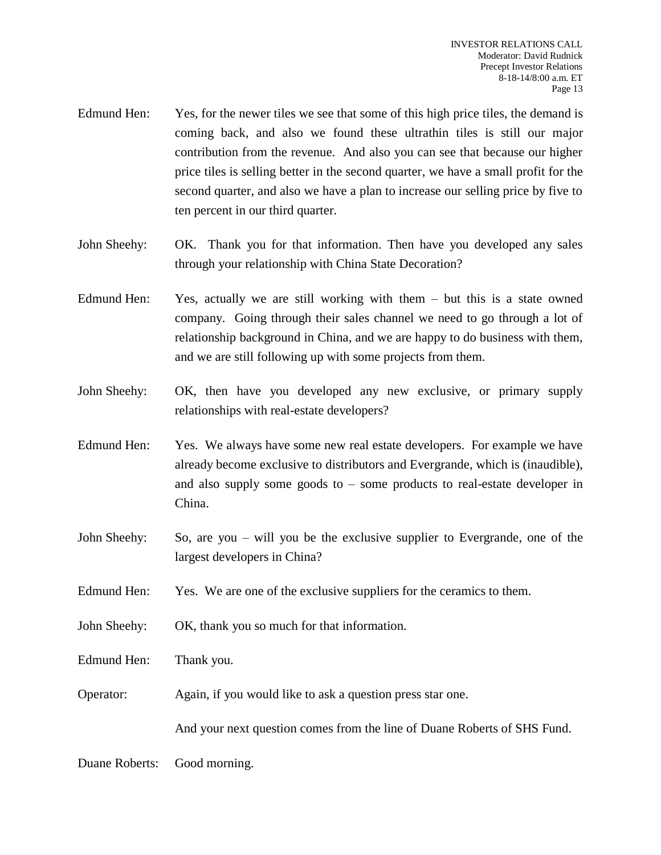- Edmund Hen: Yes, for the newer tiles we see that some of this high price tiles, the demand is coming back, and also we found these ultrathin tiles is still our major contribution from the revenue. And also you can see that because our higher price tiles is selling better in the second quarter, we have a small profit for the second quarter, and also we have a plan to increase our selling price by five to ten percent in our third quarter.
- John Sheehy: OK. Thank you for that information. Then have you developed any sales through your relationship with China State Decoration?
- Edmund Hen: Yes, actually we are still working with them but this is a state owned company. Going through their sales channel we need to go through a lot of relationship background in China, and we are happy to do business with them, and we are still following up with some projects from them.
- John Sheehy: OK, then have you developed any new exclusive, or primary supply relationships with real-estate developers?
- Edmund Hen: Yes. We always have some new real estate developers. For example we have already become exclusive to distributors and Evergrande, which is (inaudible), and also supply some goods to – some products to real-estate developer in China.
- John Sheehy: So, are you will you be the exclusive supplier to Evergrande, one of the largest developers in China?
- Edmund Hen: Yes. We are one of the exclusive suppliers for the ceramics to them.
- John Sheehy: OK, thank you so much for that information.
- Edmund Hen: Thank you.
- Operator: Again, if you would like to ask a question press star one.

And your next question comes from the line of Duane Roberts of SHS Fund.

Duane Roberts: Good morning.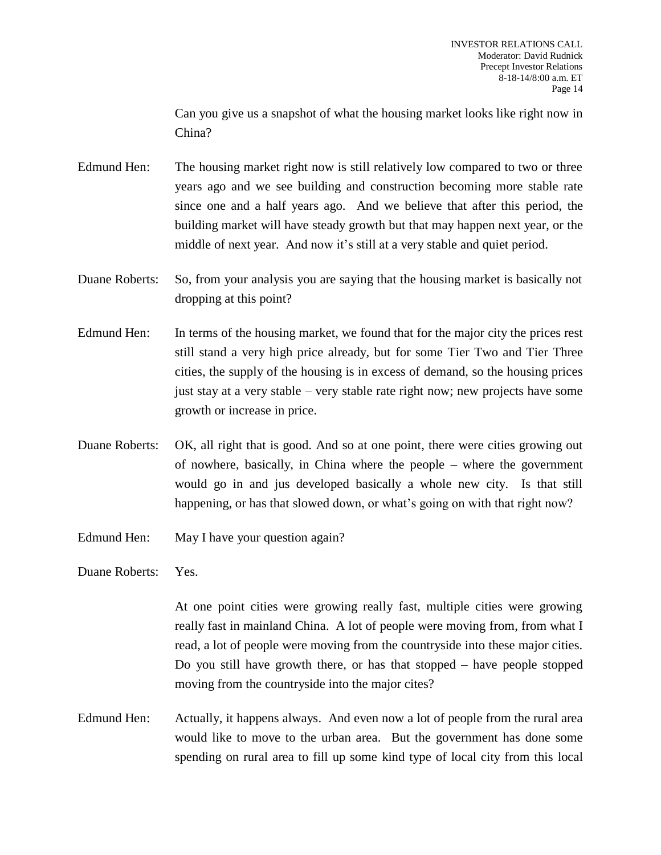Can you give us a snapshot of what the housing market looks like right now in China?

Edmund Hen: The housing market right now is still relatively low compared to two or three years ago and we see building and construction becoming more stable rate since one and a half years ago. And we believe that after this period, the building market will have steady growth but that may happen next year, or the middle of next year. And now it's still at a very stable and quiet period.

- Duane Roberts: So, from your analysis you are saying that the housing market is basically not dropping at this point?
- Edmund Hen: In terms of the housing market, we found that for the major city the prices rest still stand a very high price already, but for some Tier Two and Tier Three cities, the supply of the housing is in excess of demand, so the housing prices just stay at a very stable – very stable rate right now; new projects have some growth or increase in price.
- Duane Roberts: OK, all right that is good. And so at one point, there were cities growing out of nowhere, basically, in China where the people – where the government would go in and jus developed basically a whole new city. Is that still happening, or has that slowed down, or what's going on with that right now?
- Edmund Hen: May I have your question again?

Duane Roberts: Yes.

At one point cities were growing really fast, multiple cities were growing really fast in mainland China. A lot of people were moving from, from what I read, a lot of people were moving from the countryside into these major cities. Do you still have growth there, or has that stopped – have people stopped moving from the countryside into the major cites?

Edmund Hen: Actually, it happens always. And even now a lot of people from the rural area would like to move to the urban area. But the government has done some spending on rural area to fill up some kind type of local city from this local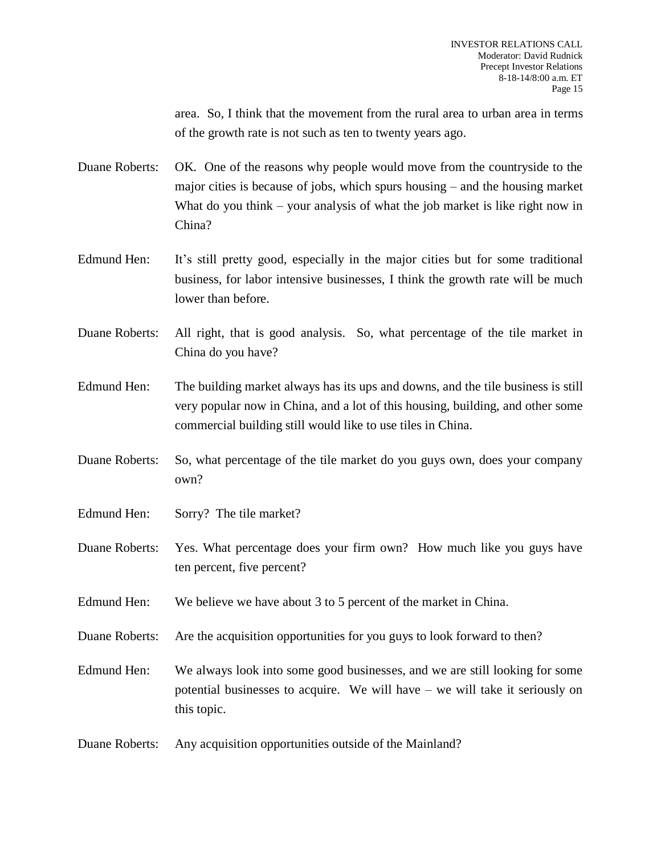area. So, I think that the movement from the rural area to urban area in terms of the growth rate is not such as ten to twenty years ago.

Duane Roberts: OK. One of the reasons why people would move from the countryside to the major cities is because of jobs, which spurs housing – and the housing market What do you think – your analysis of what the job market is like right now in China?

- Edmund Hen: It's still pretty good, especially in the major cities but for some traditional business, for labor intensive businesses, I think the growth rate will be much lower than before.
- Duane Roberts: All right, that is good analysis. So, what percentage of the tile market in China do you have?
- Edmund Hen: The building market always has its ups and downs, and the tile business is still very popular now in China, and a lot of this housing, building, and other some commercial building still would like to use tiles in China.
- Duane Roberts: So, what percentage of the tile market do you guys own, does your company own?
- Edmund Hen: Sorry? The tile market?
- Duane Roberts: Yes. What percentage does your firm own? How much like you guys have ten percent, five percent?
- Edmund Hen: We believe we have about 3 to 5 percent of the market in China.
- Duane Roberts: Are the acquisition opportunities for you guys to look forward to then?

Edmund Hen: We always look into some good businesses, and we are still looking for some potential businesses to acquire. We will have – we will take it seriously on this topic.

Duane Roberts: Any acquisition opportunities outside of the Mainland?